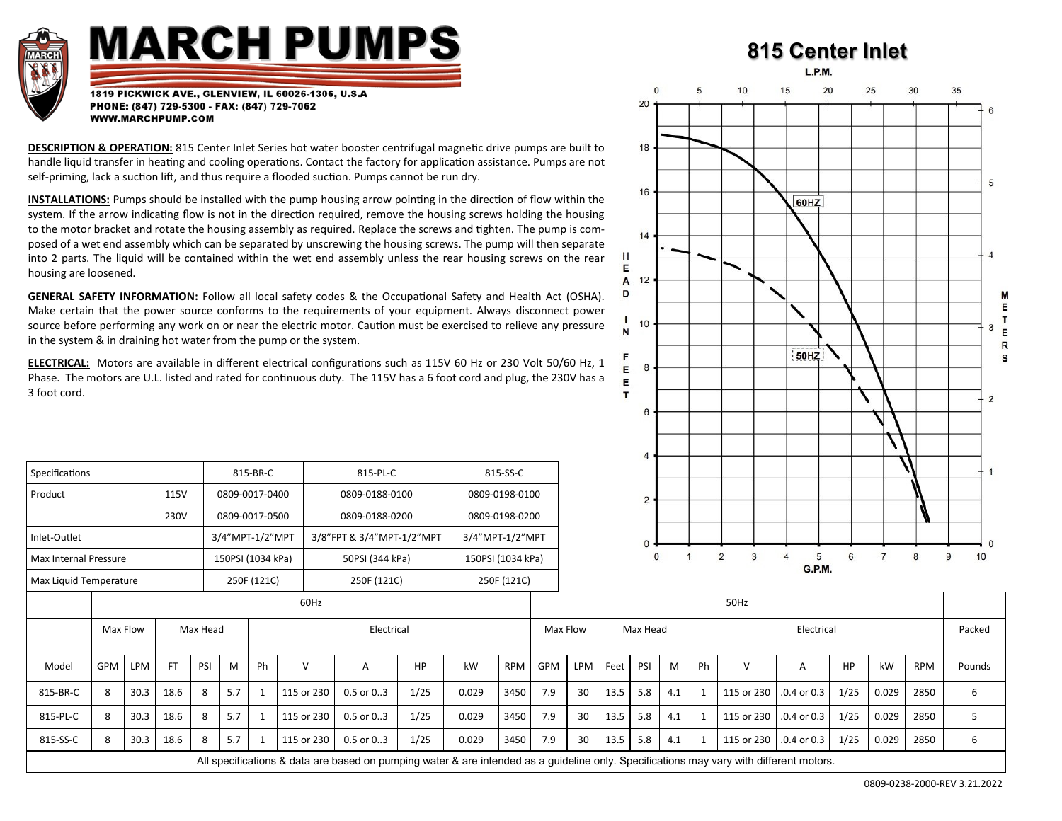

## **MARCH PUMPS**

## **815 Center Inlet**

L.P.M.

1819 PICKWICK AVE., GLENVIEW, IL 60026-1306, U.S.A PHONE: (847) 729-5300 - FAX: (847) 729-7062 WWW.MARCHPUMP.COM

**DESCRIPTION & OPERATION:** 815 Center Inlet Series hot water booster centrifugal magnetic drive pumps are built to handle liquid transfer in heating and cooling operations. Contact the factory for application assistance. Pumps are not self-priming, lack a suction lift, and thus require a flooded suction. Pumps cannot be run dry.

**INSTALLATIONS:** Pumps should be installed with the pump housing arrow pointing in the direction of flow within the system. If the arrow indicating flow is not in the direction required, remove the housing screws holding the housing to the motor bracket and rotate the housing assembly as required. Replace the screws and tighten. The pump is composed of a wet end assembly which can be separated by unscrewing the housing screws. The pump will then separate into 2 parts. The liquid will be contained within the wet end assembly unless the rear housing screws on the rear housing are loosened.

**GENERAL SAFETY INFORMATION:** Follow all local safety codes & the Occupational Safety and Health Act (OSHA). Make certain that the power source conforms to the requirements of your equipment. Always disconnect power source before performing any work on or near the electric motor. Caution must be exercised to relieve any pressure in the system & in draining hot water from the pump or the system.

**ELECTRICAL:** Motors are available in different electrical configurations such as 115V 60 Hz or 230 Volt 50/60 Hz, 1 Phase. The motors are U.L. listed and rated for continuous duty. The 115V has a 6 foot cord and plug, the 230V has a 3 foot cord.

|                        |                                    |      |           |      |                |                   |            |                           |                   |                 |                |            |             |      | 4   |                     |                    |            |                 |           |         |      |        |
|------------------------|------------------------------------|------|-----------|------|----------------|-------------------|------------|---------------------------|-------------------|-----------------|----------------|------------|-------------|------|-----|---------------------|--------------------|------------|-----------------|-----------|---------|------|--------|
| Specifications         |                                    |      |           |      |                | 815-BR-C          |            | 815-PL-C                  |                   |                 | 815-SS-C       |            |             |      |     |                     |                    |            |                 |           |         |      |        |
| Product                |                                    |      | 115V      |      | 0809-0017-0400 |                   |            | 0809-0188-0100            |                   |                 | 0809-0198-0100 |            |             |      | 2   |                     |                    |            |                 |           |         |      |        |
|                        |                                    |      | 230V      |      | 0809-0017-0500 |                   |            | 0809-0188-0200            |                   |                 | 0809-0198-0200 |            |             |      |     |                     |                    |            |                 |           |         |      |        |
| Inlet-Outlet           |                                    |      |           |      |                | 3/4"MPT-1/2"MPT   |            | 3/8"FPT & 3/4"MPT-1/2"MPT |                   | 3/4"MPT-1/2"MPT |                |            |             |      |     |                     |                    |            |                 |           |         |      |        |
| Max Internal Pressure  |                                    |      |           |      |                | 150PSI (1034 kPa) |            |                           | 150PSI (1034 kPa) |                 |                |            | $\mathbf 0$ |      |     | $\overline{2}$<br>3 | 5<br><b>G.P.M.</b> | 6          |                 | 8         | 10<br>9 |      |        |
| Max Liquid Temperature |                                    |      |           |      |                | 250F (121C)       |            | 250F (121C)               |                   |                 | 250F (121C)    |            |             |      |     |                     |                    |            |                 |           |         |      |        |
|                        |                                    |      |           | 60Hz |                |                   |            |                           |                   |                 |                |            | 50Hz        |      |     |                     |                    |            |                 |           |         |      |        |
|                        | Max Flow<br>Max Head<br>Electrical |      |           |      |                |                   |            | Max Flow<br>Max Head      |                   |                 |                | Electrical |             |      |     |                     |                    | Packed     |                 |           |         |      |        |
| Model                  | <b>GPM</b>                         | LPM  | <b>FT</b> | PSI  | M              | Ph                | $\vee$     | A                         | HP                | kW              | <b>RPM</b>     | GPM        | LPM         | Feet | PSI | M                   | Ph                 | $\vee$     | A               | <b>HP</b> | kW      | RPM  | Pounds |
| 815-BR-C               | 8                                  | 30.3 | 18.6      | 8    | 5.7            |                   | 115 or 230 | $0.5$ or $0.3$            | 1/25              | 0.029           | 3450           | 7.9        | 30          | 13.5 | 5.8 | 4.1                 |                    | 115 or 230 | $.0.4$ or $0.3$ | 1/25      | 0.029   | 2850 | 6      |
| 815-PL-C               | 8                                  | 30.3 | 18.6      | 8    | 5.7            | $\mathbf{1}$      | 115 or 230 | $0.5$ or $0.3$            | 1/25              | 0.029           | 3450           | 7.9        | 30          | 13.5 | 5.8 | 4.1                 |                    | 115 or 230 | $.0.4$ or $0.3$ | 1/25      | 0.029   | 2850 | 5      |
| 815-SS-C               | 8                                  | 30.3 | 18.6      | 8    | 5.7            |                   | 115 or 230 | $0.5$ or $0.3$            | 1/25              | 0.029           | 3450           | 7.9        | 30          | 13.5 | 5.8 | 4.1                 |                    | 115 or 230 | $.0.4$ or $0.3$ | 1/25      | 0.029   | 2850 | 6      |

All specifications & data are based on pumping water & are intended as a guideline only. Specifications may vary with different motors.